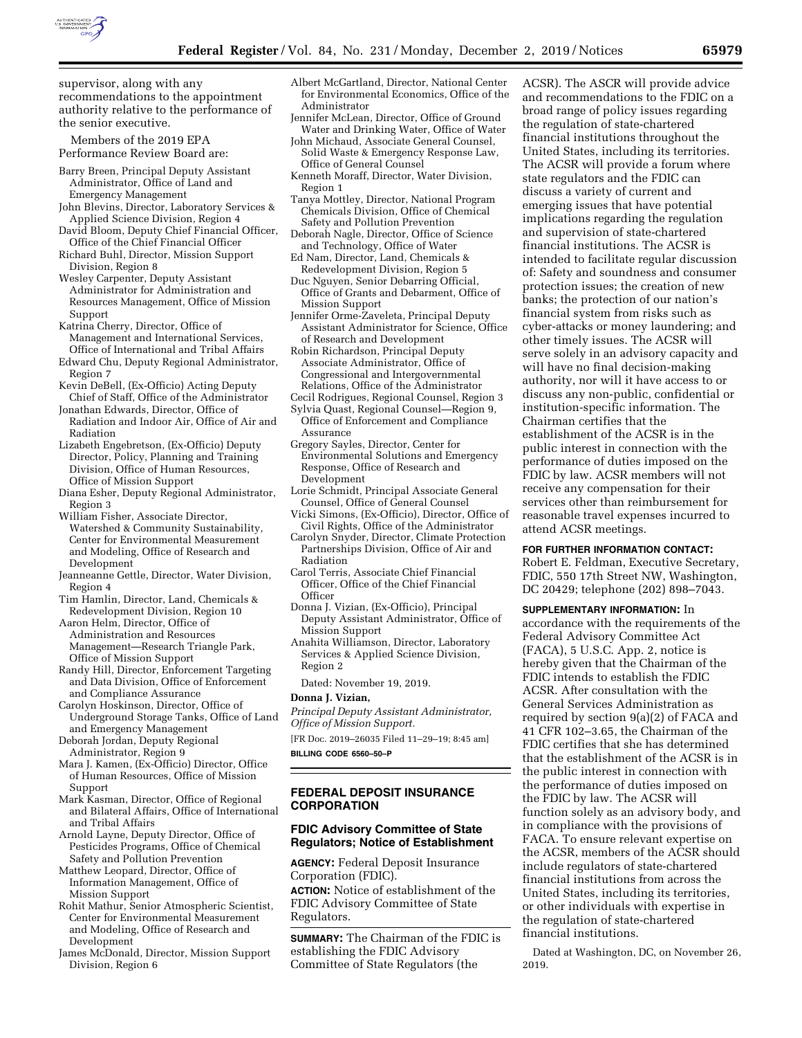

supervisor, along with any recommendations to the appointment authority relative to the performance of the senior executive.

Members of the 2019 EPA Performance Review Board are:

- Barry Breen, Principal Deputy Assistant Administrator, Office of Land and Emergency Management
- John Blevins, Director, Laboratory Services & Applied Science Division, Region 4
- David Bloom, Deputy Chief Financial Officer, Office of the Chief Financial Officer
- Richard Buhl, Director, Mission Support Division, Region 8
- Wesley Carpenter, Deputy Assistant Administrator for Administration and Resources Management, Office of Mission Support
- Katrina Cherry, Director, Office of Management and International Services, Office of International and Tribal Affairs
- Edward Chu, Deputy Regional Administrator, Region 7
- Kevin DeBell, (Ex-Officio) Acting Deputy Chief of Staff, Office of the Administrator
- Jonathan Edwards, Director, Office of Radiation and Indoor Air, Office of Air and Radiation
- Lizabeth Engebretson, (Ex-Officio) Deputy Director, Policy, Planning and Training Division, Office of Human Resources, Office of Mission Support
- Diana Esher, Deputy Regional Administrator, Region 3
- William Fisher, Associate Director, Watershed & Community Sustainability, Center for Environmental Measurement and Modeling, Office of Research and Development
- Jeanneanne Gettle, Director, Water Division, Region 4
- Tim Hamlin, Director, Land, Chemicals & Redevelopment Division, Region 10
- Aaron Helm, Director, Office of Administration and Resources Management—Research Triangle Park, Office of Mission Support
- Randy Hill, Director, Enforcement Targeting and Data Division, Office of Enforcement and Compliance Assurance
- Carolyn Hoskinson, Director, Office of Underground Storage Tanks, Office of Land and Emergency Management
- Deborah Jordan, Deputy Regional Administrator, Region 9
- Mara J. Kamen, (Ex-Officio) Director, Office of Human Resources, Office of Mission Support
- Mark Kasman, Director, Office of Regional and Bilateral Affairs, Office of International and Tribal Affairs
- Arnold Layne, Deputy Director, Office of Pesticides Programs, Office of Chemical Safety and Pollution Prevention
- Matthew Leopard, Director, Office of Information Management, Office of Mission Support
- Rohit Mathur, Senior Atmospheric Scientist, Center for Environmental Measurement and Modeling, Office of Research and Development
- James McDonald, Director, Mission Support Division, Region 6
- Albert McGartland, Director, National Center for Environmental Economics, Office of the Administrator
- Jennifer McLean, Director, Office of Ground Water and Drinking Water, Office of Water John Michaud, Associate General Counsel,
- Solid Waste & Emergency Response Law, Office of General Counsel
- Kenneth Moraff, Director, Water Division, Region 1
- Tanya Mottley, Director, National Program Chemicals Division, Office of Chemical Safety and Pollution Prevention
- Deborah Nagle, Director, Office of Science and Technology, Office of Water
- Ed Nam, Director, Land, Chemicals & Redevelopment Division, Region 5
- Duc Nguyen, Senior Debarring Official, Office of Grants and Debarment, Office of Mission Support
- Jennifer Orme-Zaveleta, Principal Deputy Assistant Administrator for Science, Office of Research and Development
- Robin Richardson, Principal Deputy Associate Administrator, Office of Congressional and Intergovernmental Relations, Office of the Administrator Cecil Rodrigues, Regional Counsel, Region 3
- Sylvia Quast, Regional Counsel—Region 9,
- Office of Enforcement and Compliance Assurance
- Gregory Sayles, Director, Center for Environmental Solutions and Emergency Response, Office of Research and Development
- Lorie Schmidt, Principal Associate General Counsel, Office of General Counsel
- Vicki Simons, (Ex-Officio), Director, Office of Civil Rights, Office of the Administrator
- Carolyn Snyder, Director, Climate Protection Partnerships Division, Office of Air and Radiation
- Carol Terris, Associate Chief Financial Officer, Office of the Chief Financial **Officer**
- Donna J. Vizian, (Ex-Officio), Principal Deputy Assistant Administrator, Office of Mission Support
- Anahita Williamson, Director, Laboratory Services & Applied Science Division, Region 2

Dated: November 19, 2019.

# **Donna J. Vizian,**

*Principal Deputy Assistant Administrator, Office of Mission Support.* 

[FR Doc. 2019–26035 Filed 11–29–19; 8:45 am]

**BILLING CODE 6560–50–P** 

# **FEDERAL DEPOSIT INSURANCE CORPORATION**

## **FDIC Advisory Committee of State Regulators; Notice of Establishment**

**AGENCY:** Federal Deposit Insurance Corporation (FDIC).

**ACTION:** Notice of establishment of the FDIC Advisory Committee of State Regulators.

**SUMMARY:** The Chairman of the FDIC is establishing the FDIC Advisory Committee of State Regulators (the

ACSR). The ASCR will provide advice and recommendations to the FDIC on a broad range of policy issues regarding the regulation of state-chartered financial institutions throughout the United States, including its territories. The ACSR will provide a forum where state regulators and the FDIC can discuss a variety of current and emerging issues that have potential implications regarding the regulation and supervision of state-chartered financial institutions. The ACSR is intended to facilitate regular discussion of: Safety and soundness and consumer protection issues; the creation of new banks; the protection of our nation's financial system from risks such as cyber-attacks or money laundering; and other timely issues. The ACSR will serve solely in an advisory capacity and will have no final decision-making authority, nor will it have access to or discuss any non-public, confidential or institution-specific information. The Chairman certifies that the establishment of the ACSR is in the public interest in connection with the performance of duties imposed on the FDIC by law. ACSR members will not receive any compensation for their services other than reimbursement for reasonable travel expenses incurred to attend ACSR meetings.

#### **FOR FURTHER INFORMATION CONTACT:**

Robert E. Feldman, Executive Secretary, FDIC, 550 17th Street NW, Washington, DC 20429; telephone (202) 898–7043.

### **SUPPLEMENTARY INFORMATION:** In

accordance with the requirements of the Federal Advisory Committee Act (FACA), 5 U.S.C. App. 2, notice is hereby given that the Chairman of the FDIC intends to establish the FDIC ACSR. After consultation with the General Services Administration as required by section 9(a)(2) of FACA and 41 CFR 102–3.65, the Chairman of the FDIC certifies that she has determined that the establishment of the ACSR is in the public interest in connection with the performance of duties imposed on the FDIC by law. The ACSR will function solely as an advisory body, and in compliance with the provisions of FACA. To ensure relevant expertise on the ACSR, members of the ACSR should include regulators of state-chartered financial institutions from across the United States, including its territories, or other individuals with expertise in the regulation of state-chartered financial institutions.

Dated at Washington, DC, on November 26, 2019.